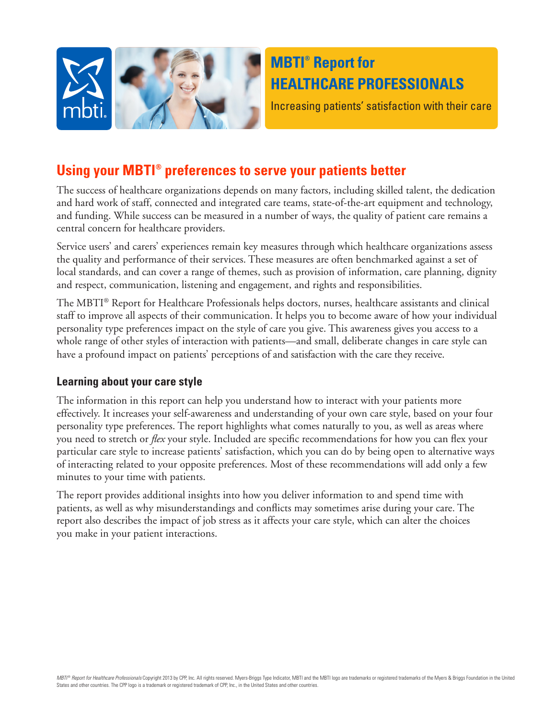

# **MBTI® Report for HEALTHCARE PROFESSIONALS**

Increasing patients' satisfaction with their care

## **Using your MBTI® preferences to serve your patients better**

The success of healthcare organizations depends on many factors, including skilled talent, the dedication and hard work of staff, connected and integrated care teams, state-of-the-art equipment and technology, and funding. While success can be measured in a number of ways, the quality of patient care remains a central concern for healthcare providers.

Service users' and carers' experiences remain key measures through which healthcare organizations assess the quality and performance of their services. These measures are often benchmarked against a set of local standards, and can cover a range of themes, such as provision of information, care planning, dignity and respect, communication, listening and engagement, and rights and responsibilities.

The MBTI® Report for Healthcare Professionals helps doctors, nurses, healthcare assistants and clinical staff to improve all aspects of their communication. It helps you to become aware of how your individual personality type preferences impact on the style of care you give. This awareness gives you access to a whole range of other styles of interaction with patients—and small, deliberate changes in care style can have a profound impact on patients' perceptions of and satisfaction with the care they receive.

## **Learning about your care style**

The information in this report can help you understand how to interact with your patients more effectively. It increases your self-awareness and understanding of your own care style, based on your four personality type preferences. The report highlights what comes naturally to you, as well as areas where you need to stretch or *flex* your style. Included are specific recommendations for how you can flex your particular care style to increase patients' satisfaction, which you can do by being open to alternative ways of interacting related to your opposite preferences. Most of these recommendations will add only a few minutes to your time with patients.

The report provides additional insights into how you deliver information to and spend time with patients, as well as why misunderstandings and conflicts may sometimes arise during your care. The report also describes the impact of job stress as it affects your care style, which can alter the choices you make in your patient interactions.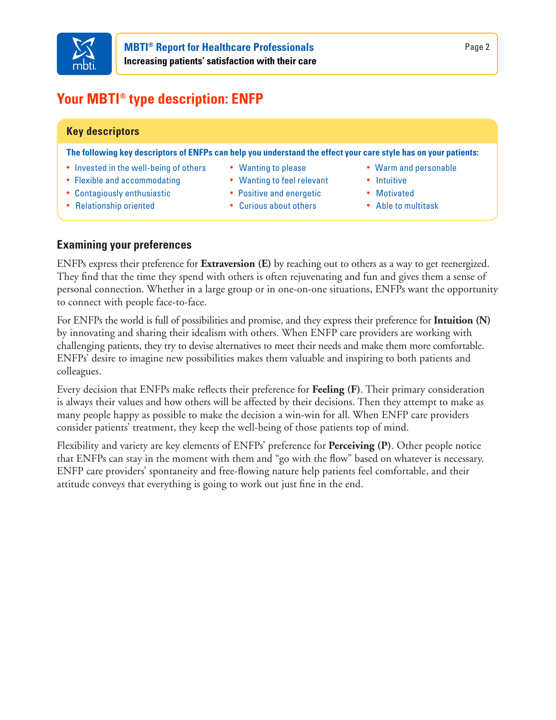

# **Your MBTI® type description: ENFP**

## **Key descriptors**

**The following key descriptors of ENFPs can help you understand the effect your care style has on your patients:**

- **•** Invested in the well-being of others
- **•** Flexible and accommodating
- **•** Contagiously enthusiastic
- **•** Relationship oriented
- **•** Wanting to please
- **•** Wanting to feel relevant
- **•** Positive and energetic
- **•** Curious about others
- **•** Warm and personable
- **•** Intuitive
- **•** Motivated
- **•** Able to multitask

## **Examining your preferences**

ENFPs express their preference for **Extraversion (E)** by reaching out to others as a way to get reenergized. They find that the time they spend with others is often rejuvenating and fun and gives them a sense of personal connection. Whether in a large group or in one-on-one situations, ENFPs want the opportunity to connect with people face-to-face.

For ENFPs the world is full of possibilities and promise, and they express their preference for **Intuition (N)** by innovating and sharing their idealism with others. When ENFP care providers are working with challenging patients, they try to devise alternatives to meet their needs and make them more comfortable. ENFPs' desire to imagine new possibilities makes them valuable and inspiring to both patients and colleagues.

Every decision that ENFPs make reflects their preference for **Feeling (F)**. Their primary consideration is always their values and how others will be affected by their decisions. Then they attempt to make as many people happy as possible to make the decision a win-win for all. When ENFP care providers consider patients' treatment, they keep the well-being of those patients top of mind.

Flexibility and variety are key elements of ENFPs' preference for **Perceiving (P)**. Other people notice that ENFPs can stay in the moment with them and "go with the flow" based on whatever is necessary. ENFP care providers' spontaneity and free-flowing nature help patients feel comfortable, and their attitude conveys that everything is going to work out just fine in the end.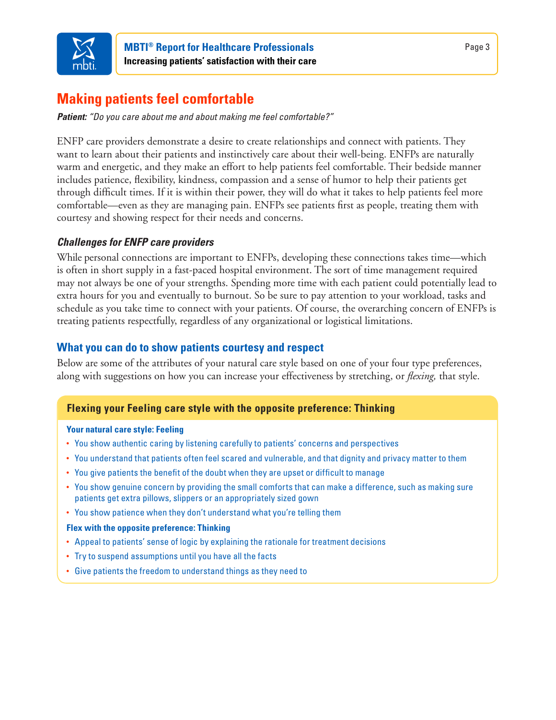

# **Making patients feel comfortable**

*Patient: "Do you care about me and about making me feel comfortable?"*

ENFP care providers demonstrate a desire to create relationships and connect with patients. They want to learn about their patients and instinctively care about their well-being. ENFPs are naturally warm and energetic, and they make an effort to help patients feel comfortable. Their bedside manner includes patience, flexibility, kindness, compassion and a sense of humor to help their patients get through difficult times. If it is within their power, they will do what it takes to help patients feel more comfortable—even as they are managing pain. ENFPs see patients first as people, treating them with courtesy and showing respect for their needs and concerns.

## *Challenges for ENFP care providers*

While personal connections are important to ENFPs, developing these connections takes time—which is often in short supply in a fast-paced hospital environment. The sort of time management required may not always be one of your strengths. Spending more time with each patient could potentially lead to extra hours for you and eventually to burnout. So be sure to pay attention to your workload, tasks and schedule as you take time to connect with your patients. Of course, the overarching concern of ENFPs is treating patients respectfully, regardless of any organizational or logistical limitations.

## **What you can do to show patients courtesy and respect**

Below are some of the attributes of your natural care style based on one of your four type preferences, along with suggestions on how you can increase your effectiveness by stretching, or *flexing,* that style.

## **Flexing your Feeling care style with the opposite preference: Thinking**

#### **Your natural care style: Feeling**

- You show authentic caring by listening carefully to patients' concerns and perspectives
- You understand that patients often feel scared and vulnerable, and that dignity and privacy matter to them
- You give patients the benefit of the doubt when they are upset or difficult to manage
- You show genuine concern by providing the small comforts that can make a difference, such as making sure patients get extra pillows, slippers or an appropriately sized gown
- You show patience when they don't understand what you're telling them

#### **Flex with the opposite preference: Thinking**

- Appeal to patients' sense of logic by explaining the rationale for treatment decisions
- Try to suspend assumptions until you have all the facts
- Give patients the freedom to understand things as they need to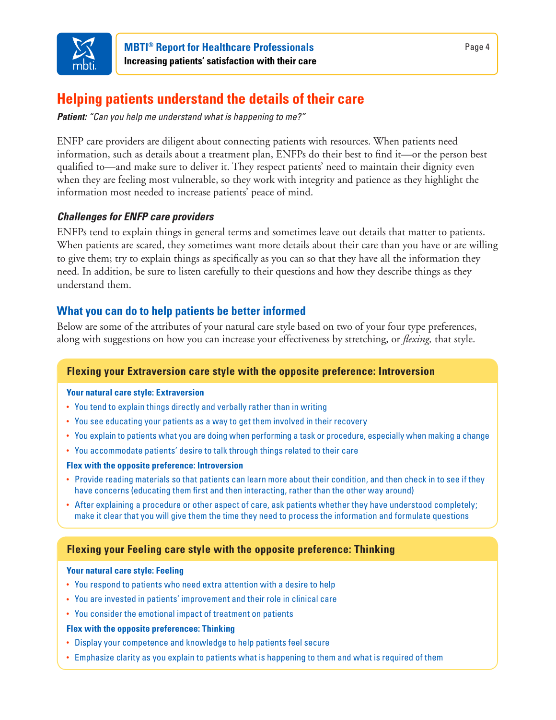

# **Helping patients understand the details of their care**

*Patient: "Can you help me understand what is happening to me?"*

ENFP care providers are diligent about connecting patients with resources. When patients need information, such as details about a treatment plan, ENFPs do their best to find it—or the person best qualified to—and make sure to deliver it. They respect patients' need to maintain their dignity even when they are feeling most vulnerable, so they work with integrity and patience as they highlight the information most needed to increase patients' peace of mind.

## *Challenges for ENFP care providers*

ENFPs tend to explain things in general terms and sometimes leave out details that matter to patients. When patients are scared, they sometimes want more details about their care than you have or are willing to give them; try to explain things as specifically as you can so that they have all the information they need. In addition, be sure to listen carefully to their questions and how they describe things as they understand them.

## **What you can do to help patients be better informed**

Below are some of the attributes of your natural care style based on two of your four type preferences, along with suggestions on how you can increase your effectiveness by stretching, or *flexing,* that style.

### **Flexing your Extraversion care style with the opposite preference: Introversion**

#### **Your natural care style: Extraversion**

- You tend to explain things directly and verbally rather than in writing
- You see educating your patients as a way to get them involved in their recovery
- You explain to patients what you are doing when performing a task or procedure, especially when making a change
- You accommodate patients' desire to talk through things related to their care

#### **Flex with the opposite preference: Introversion**

- Provide reading materials so that patients can learn more about their condition, and then check in to see if they have concerns (educating them first and then interacting, rather than the other way around)
- After explaining a procedure or other aspect of care, ask patients whether they have understood completely; make it clear that you will give them the time they need to process the information and formulate questions

## **Flexing your Feeling care style with the opposite preference: Thinking**

#### **Your natural care style: Feeling**

- You respond to patients who need extra attention with a desire to help
- You are invested in patients' improvement and their role in clinical care
- You consider the emotional impact of treatment on patients

#### **Flex with the opposite preferencee: Thinking**

- Display your competence and knowledge to help patients feel secure
- Emphasize clarity as you explain to patients what is happening to them and what is required of them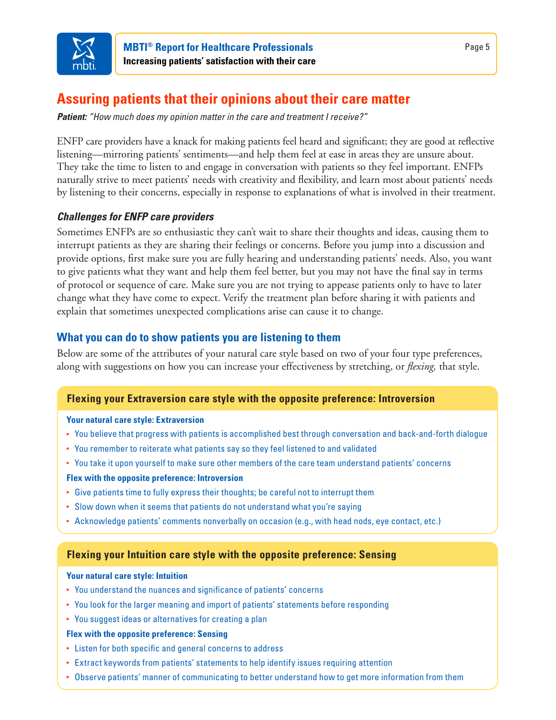

## **Assuring patients that their opinions about their care matter**

*Patient: "How much does my opinion matter in the care and treatment I receive?"*

ENFP care providers have a knack for making patients feel heard and significant; they are good at reflective listening—mirroring patients' sentiments—and help them feel at ease in areas they are unsure about. They take the time to listen to and engage in conversation with patients so they feel important. ENFPs naturally strive to meet patients' needs with creativity and flexibility, and learn most about patients' needs by listening to their concerns, especially in response to explanations of what is involved in their treatment.

## *Challenges for ENFP care providers*

Sometimes ENFPs are so enthusiastic they can't wait to share their thoughts and ideas, causing them to interrupt patients as they are sharing their feelings or concerns. Before you jump into a discussion and provide options, first make sure you are fully hearing and understanding patients' needs. Also, you want to give patients what they want and help them feel better, but you may not have the final say in terms of protocol or sequence of care. Make sure you are not trying to appease patients only to have to later change what they have come to expect. Verify the treatment plan before sharing it with patients and explain that sometimes unexpected complications arise can cause it to change.

## **What you can do to show patients you are listening to them**

Below are some of the attributes of your natural care style based on two of your four type preferences, along with suggestions on how you can increase your effectiveness by stretching, or *flexing,* that style.

## **Flexing your Extraversion care style with the opposite preference: Introversion**

#### **Your natural care style: Extraversion**

- You believe that progress with patients is accomplished best through conversation and back-and-forth dialogue
- You remember to reiterate what patients say so they feel listened to and validated
- You take it upon yourself to make sure other members of the care team understand patients' concerns

### **Flex with the opposite preference: Introversion**

- Give patients time to fully express their thoughts; be careful not to interrupt them
- Slow down when it seems that patients do not understand what you're saying
- Acknowledge patients' comments nonverbally on occasion (e.g., with head nods, eye contact, etc.)

## **Flexing your Intuition care style with the opposite preference: Sensing**

#### **Your natural care style: Intuition**

- You understand the nuances and significance of patients' concerns
- You look for the larger meaning and import of patients' statements before responding
- You suggest ideas or alternatives for creating a plan

#### **Flex with the opposite preference: Sensing**

- Listen for both specific and general concerns to address
- Extract keywords from patients' statements to help identify issues requiring attention
- Observe patients' manner of communicating to better understand how to get more information from them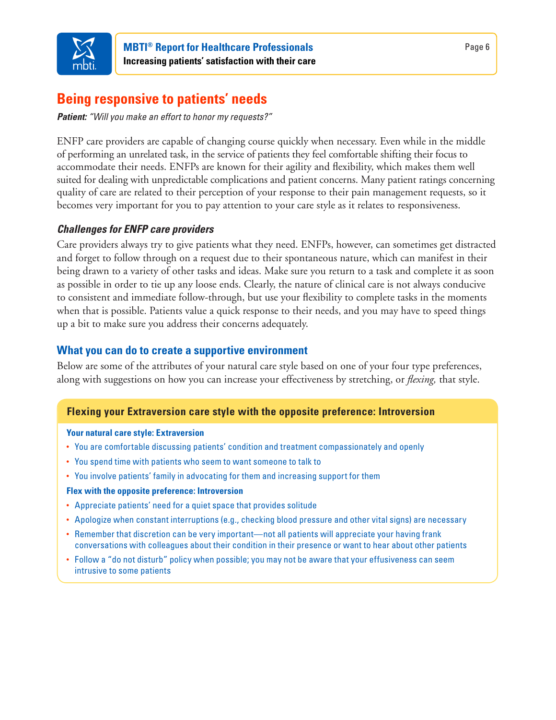

## **Being responsive to patients' needs**

*Patient: "Will you make an effort to honor my requests?"*

ENFP care providers are capable of changing course quickly when necessary. Even while in the middle of performing an unrelated task, in the service of patients they feel comfortable shifting their focus to accommodate their needs. ENFPs are known for their agility and flexibility, which makes them well suited for dealing with unpredictable complications and patient concerns. Many patient ratings concerning quality of care are related to their perception of your response to their pain management requests, so it becomes very important for you to pay attention to your care style as it relates to responsiveness.

## *Challenges for ENFP care providers*

Care providers always try to give patients what they need. ENFPs, however, can sometimes get distracted and forget to follow through on a request due to their spontaneous nature, which can manifest in their being drawn to a variety of other tasks and ideas. Make sure you return to a task and complete it as soon as possible in order to tie up any loose ends. Clearly, the nature of clinical care is not always conducive to consistent and immediate follow-through, but use your flexibility to complete tasks in the moments when that is possible. Patients value a quick response to their needs, and you may have to speed things up a bit to make sure you address their concerns adequately.

## **What you can do to create a supportive environment**

Below are some of the attributes of your natural care style based on one of your four type preferences, along with suggestions on how you can increase your effectiveness by stretching, or *flexing,* that style.

### **Flexing your Extraversion care style with the opposite preference: Introversion**

#### **Your natural care style: Extraversion**

- You are comfortable discussing patients' condition and treatment compassionately and openly
- You spend time with patients who seem to want someone to talk to
- You involve patients' family in advocating for them and increasing support for them

#### **Flex with the opposite preference: Introversion**

- Appreciate patients' need for a quiet space that provides solitude
- Apologize when constant interruptions (e.g., checking blood pressure and other vital signs) are necessary
- Remember that discretion can be very important—not all patients will appreciate your having frank conversations with colleagues about their condition in their presence or want to hear about other patients
- Follow a "do not disturb" policy when possible; you may not be aware that your effusiveness can seem intrusive to some patients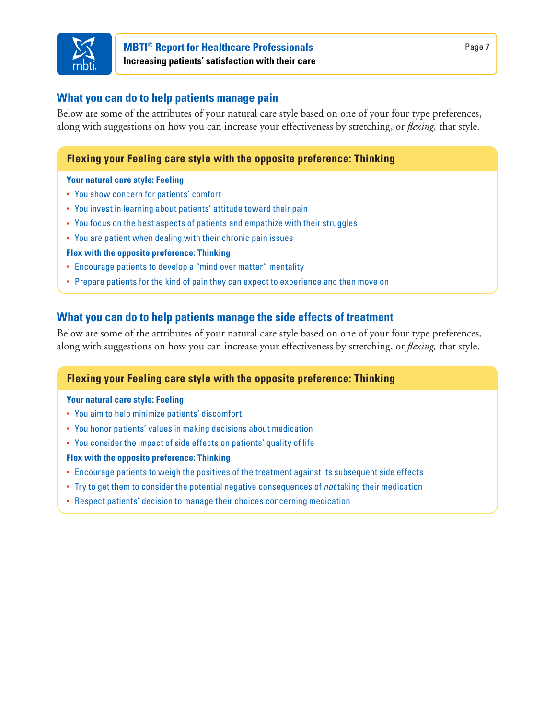

## **MBTI® Report for Healthcare Professionals Increasing patients' satisfaction with their care**

## **What you can do to help patients manage pain**

Below are some of the attributes of your natural care style based on one of your four type preferences, along with suggestions on how you can increase your effectiveness by stretching, or *flexing,* that style.

## **Flexing your Feeling care style with the opposite preference: Thinking**

#### **Your natural care style: Feeling**

- You show concern for patients' comfort
- You invest in learning about patients' attitude toward their pain
- You focus on the best aspects of patients and empathize with their struggles
- You are patient when dealing with their chronic pain issues
- **Flex with the opposite preference: Thinking**
- Encourage patients to develop a "mind over matter" mentality
- Prepare patients for the kind of pain they can expect to experience and then move on

## **What you can do to help patients manage the side effects of treatment**

Below are some of the attributes of your natural care style based on one of your four type preferences, along with suggestions on how you can increase your effectiveness by stretching, or *flexing,* that style.

## **Flexing your Feeling care style with the opposite preference: Thinking**

#### **Your natural care style: Feeling**

- You aim to help minimize patients' discomfort
- You honor patients' values in making decisions about medication
- You consider the impact of side effects on patients' quality of life

#### **Flex with the opposite preference: Thinking**

- Encourage patients to weigh the positives of the treatment against its subsequent side effects
- Try to get them to consider the potential negative consequences of *not* taking their medication
- Respect patients' decision to manage their choices concerning medication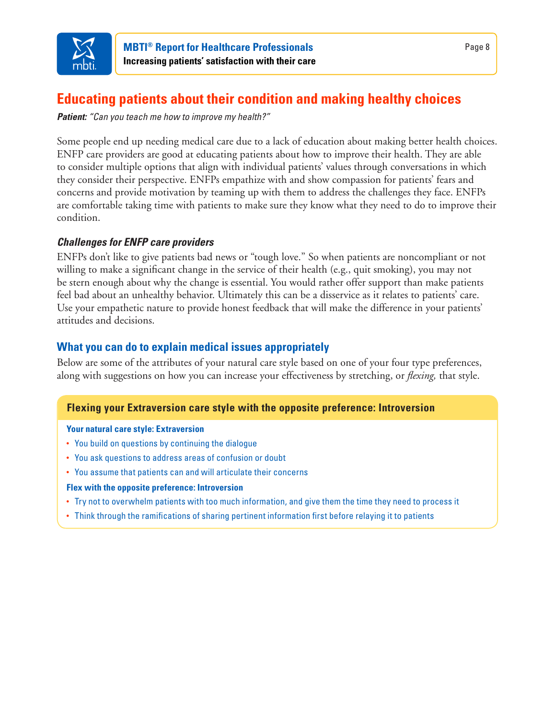

# **Educating patients about their condition and making healthy choices**

*Patient: "Can you teach me how to improve my health?"*

Some people end up needing medical care due to a lack of education about making better health choices. ENFP care providers are good at educating patients about how to improve their health. They are able to consider multiple options that align with individual patients' values through conversations in which they consider their perspective. ENFPs empathize with and show compassion for patients' fears and concerns and provide motivation by teaming up with them to address the challenges they face. ENFPs are comfortable taking time with patients to make sure they know what they need to do to improve their condition.

## *Challenges for ENFP care providers*

ENFPs don't like to give patients bad news or "tough love." So when patients are noncompliant or not willing to make a significant change in the service of their health (e.g., quit smoking), you may not be stern enough about why the change is essential. You would rather offer support than make patients feel bad about an unhealthy behavior. Ultimately this can be a disservice as it relates to patients' care. Use your empathetic nature to provide honest feedback that will make the difference in your patients' attitudes and decisions.

## **What you can do to explain medical issues appropriately**

Below are some of the attributes of your natural care style based on one of your four type preferences, along with suggestions on how you can increase your effectiveness by stretching, or *flexing,* that style.

## **Flexing your Extraversion care style with the opposite preference: Introversion**

### **Your natural care style: Extraversion**

- You build on questions by continuing the dialogue
- You ask questions to address areas of confusion or doubt
- You assume that patients can and will articulate their concerns

### **Flex with the opposite preference: Introversion**

- Try not to overwhelm patients with too much information, and give them the time they need to process it
- Think through the ramifications of sharing pertinent information first before relaying it to patients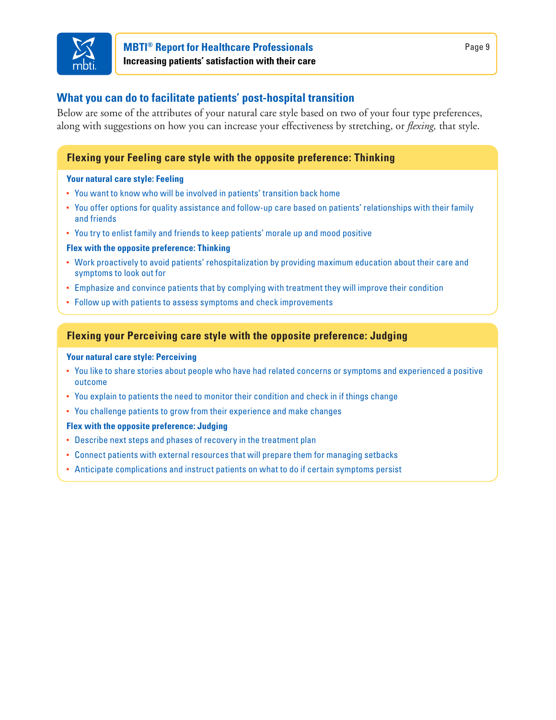

## **MBTI® Report for Healthcare Professionals Increasing patients' satisfaction with their care**

## **What you can do to facilitate patients' post-hospital transition**

Below are some of the attributes of your natural care style based on two of your four type preferences, along with suggestions on how you can increase your effectiveness by stretching, or *flexing,* that style.

## **Flexing your Feeling care style with the opposite preference: Thinking**

#### **Your natural care style: Feeling**

- You want to know who will be involved in patients' transition back home
- You offer options for quality assistance and follow-up care based on patients' relationships with their family and friends
- You try to enlist family and friends to keep patients' morale up and mood positive

#### **Flex with the opposite preference: Thinking**

- Work proactively to avoid patients' rehospitalization by providing maximum education about their care and symptoms to look out for
- Emphasize and convince patients that by complying with treatment they will improve their condition
- Follow up with patients to assess symptoms and check improvements

## **Flexing your Perceiving care style with the opposite preference: Judging**

#### **Your natural care style: Perceiving**

- You like to share stories about people who have had related concerns or symptoms and experienced a positive outcome
- You explain to patients the need to monitor their condition and check in if things change
- You challenge patients to grow from their experience and make changes

#### **Flex with the opposite preference: Judging**

- Describe next steps and phases of recovery in the treatment plan
- Connect patients with external resources that will prepare them for managing setbacks
- Anticipate complications and instruct patients on what to do if certain symptoms persist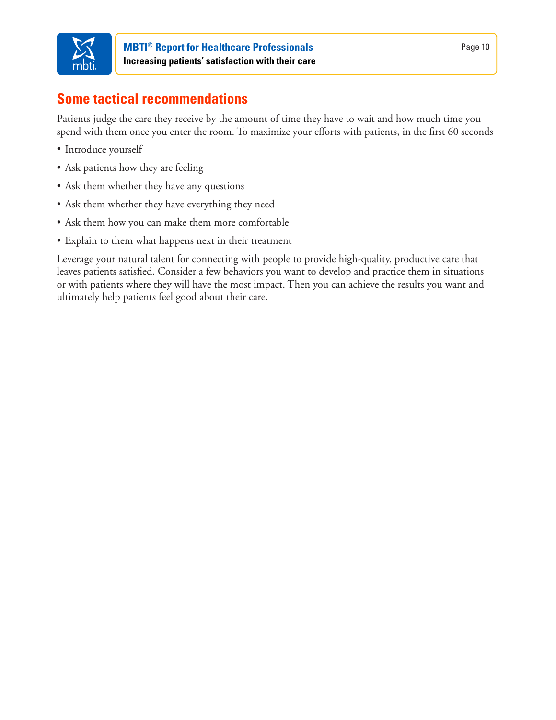

## **Some tactical recommendations**

Patients judge the care they receive by the amount of time they have to wait and how much time you spend with them once you enter the room. To maximize your efforts with patients, in the first 60 seconds

- • Introduce yourself
- Ask patients how they are feeling
- Ask them whether they have any questions
- Ask them whether they have everything they need
- Ask them how you can make them more comfortable
- Explain to them what happens next in their treatment

Leverage your natural talent for connecting with people to provide high-quality, productive care that leaves patients satisfied. Consider a few behaviors you want to develop and practice them in situations or with patients where they will have the most impact. Then you can achieve the results you want and ultimately help patients feel good about their care.